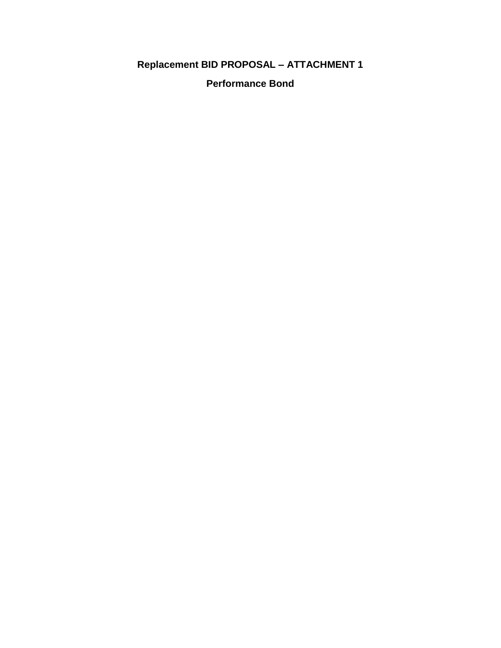## **Replacement BID PROPOSAL – ATTACHMENT 1**

**Performance Bond**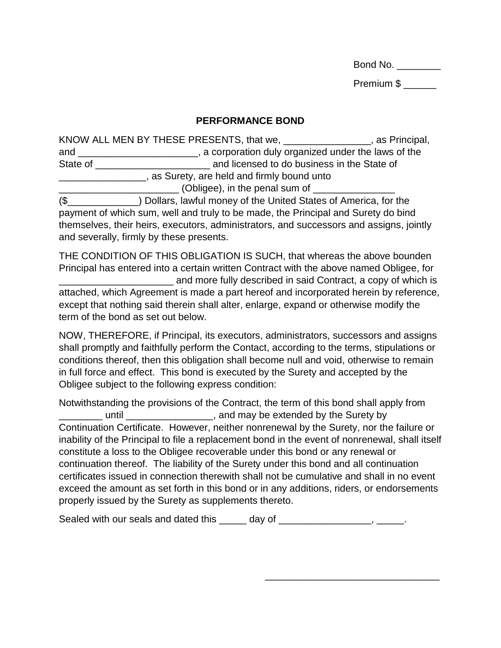Bond No.

Premium \$

### **PERFORMANCE BOND**

KNOW ALL MEN BY THESE PRESENTS, that we, The Solution of the Second Music Seconds Assembly as Principal, and \_\_\_\_\_\_\_\_\_\_\_\_\_\_\_\_\_\_\_\_\_\_, a corporation duly organized under the laws of the State of \_\_\_\_\_\_\_\_\_\_\_\_\_\_\_\_\_\_\_\_\_ and licensed to do business in the State of **EXALLET 2018 2018** Surety, are held and firmly bound unto \_\_\_\_\_\_\_\_\_\_\_\_\_\_\_\_\_\_\_\_\_\_ (Obligee), in the penal sum of \_\_\_\_\_\_\_\_\_\_\_\_\_\_\_ (\$\_\_\_\_\_\_\_\_\_\_\_\_\_) Dollars, lawful money of the United States of America, for the

payment of which sum, well and truly to be made, the Principal and Surety do bind themselves, their heirs, executors, administrators, and successors and assigns, jointly and severally, firmly by these presents.

THE CONDITION OF THIS OBLIGATION IS SUCH, that whereas the above bounden Principal has entered into a certain written Contract with the above named Obligee, for and more fully described in said Contract, a copy of which is attached, which Agreement is made a part hereof and incorporated herein by reference, except that nothing said therein shall alter, enlarge, expand or otherwise modify the term of the bond as set out below.

NOW, THEREFORE, if Principal, its executors, administrators, successors and assigns shall promptly and faithfully perform the Contact, according to the terms, stipulations or conditions thereof, then this obligation shall become null and void, otherwise to remain in full force and effect. This bond is executed by the Surety and accepted by the Obligee subject to the following express condition:

Notwithstanding the provisions of the Contract, the term of this bond shall apply from **with all and may be extended by the Surety by** Continuation Certificate. However, neither nonrenewal by the Surety, nor the failure or inability of the Principal to file a replacement bond in the event of nonrenewal, shall itself constitute a loss to the Obligee recoverable under this bond or any renewal or continuation thereof. The liability of the Surety under this bond and all continuation certificates issued in connection therewith shall not be cumulative and shall in no event exceed the amount as set forth in this bond or in any additions, riders, or endorsements properly issued by the Surety as supplements thereto.

\_\_\_\_\_\_\_\_\_\_\_\_\_\_\_\_\_\_\_\_\_\_\_\_\_\_\_\_\_\_\_\_

Sealed with our seals and dated this \_\_\_\_\_ day of \_\_\_\_\_\_\_\_\_\_\_\_\_\_\_\_\_, \_\_\_\_\_.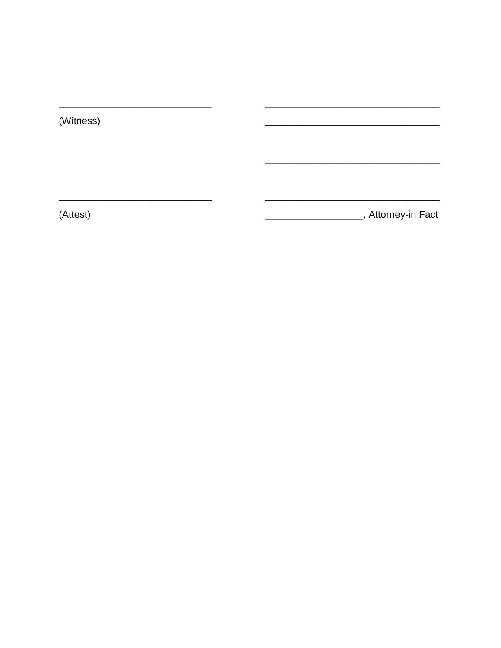(Witness)

 $\overline{\phantom{0}}$ 

 $\overline{\phantom{0}}$ 

(Attest)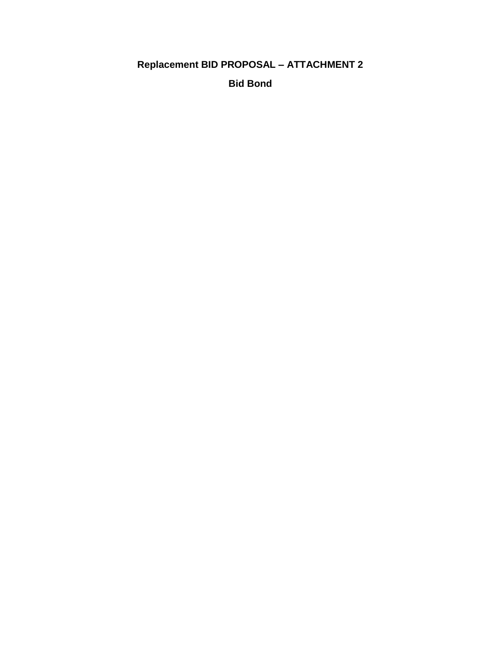## **Replacement BID PROPOSAL - ATTACHMENT 2**

**Bid Bond**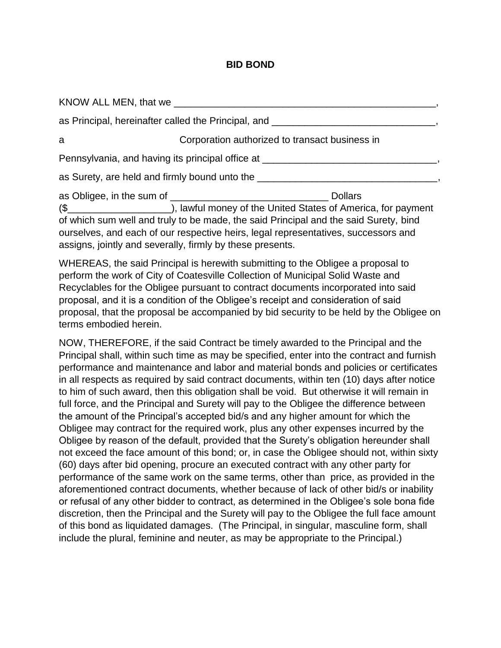#### **BID BOND**

|                                                                                  | KNOW ALL MEN, that we                                     |                                                                                                                                                                            |  |  |
|----------------------------------------------------------------------------------|-----------------------------------------------------------|----------------------------------------------------------------------------------------------------------------------------------------------------------------------------|--|--|
|                                                                                  |                                                           | as Principal, hereinafter called the Principal, and _____________________________                                                                                          |  |  |
| a                                                                                |                                                           | Corporation authorized to transact business in                                                                                                                             |  |  |
| Pennsylvania, and having its principal office at _______________________________ |                                                           |                                                                                                                                                                            |  |  |
|                                                                                  |                                                           | as Surety, are held and firmly bound unto the __________________________________                                                                                           |  |  |
|                                                                                  | assigns, jointly and severally, firmly by these presents. | of which sum well and truly to be made, the said Principal and the said Surety, bind<br>ourselves, and each of our respective heirs, legal representatives, successors and |  |  |

WHEREAS, the said Principal is herewith submitting to the Obligee a proposal to perform the work of City of Coatesville Collection of Municipal Solid Waste and Recyclables for the Obligee pursuant to contract documents incorporated into said proposal, and it is a condition of the Obligee's receipt and consideration of said proposal, that the proposal be accompanied by bid security to be held by the Obligee on terms embodied herein.

NOW, THEREFORE, if the said Contract be timely awarded to the Principal and the Principal shall, within such time as may be specified, enter into the contract and furnish performance and maintenance and labor and material bonds and policies or certificates in all respects as required by said contract documents, within ten (10) days after notice to him of such award, then this obligation shall be void. But otherwise it will remain in full force, and the Principal and Surety will pay to the Obligee the difference between the amount of the Principal's accepted bid/s and any higher amount for which the Obligee may contract for the required work, plus any other expenses incurred by the Obligee by reason of the default, provided that the Surety's obligation hereunder shall not exceed the face amount of this bond; or, in case the Obligee should not, within sixty (60) days after bid opening, procure an executed contract with any other party for performance of the same work on the same terms, other than price, as provided in the aforementioned contract documents, whether because of lack of other bid/s or inability or refusal of any other bidder to contract, as determined in the Obligee's sole bona fide discretion, then the Principal and the Surety will pay to the Obligee the full face amount of this bond as liquidated damages. (The Principal, in singular, masculine form, shall include the plural, feminine and neuter, as may be appropriate to the Principal.)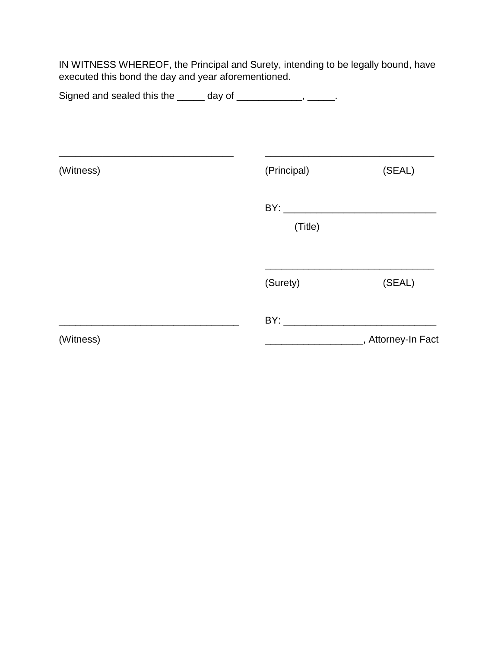IN WITNESS WHEREOF, the Principal and Surety, intending to be legally bound, have executed this bond the day and year aforementioned.

| Signed and sealed this the ______ day of _____________, _____.                                                                     |             |                                           |
|------------------------------------------------------------------------------------------------------------------------------------|-------------|-------------------------------------------|
| <u> 1989 - Johann Stein, mars and de Britain and de Britain and de Britain and de Britain and de Britain and de B</u><br>(Witness) | (Principal) | (SEAL)                                    |
|                                                                                                                                    | (Title)     |                                           |
|                                                                                                                                    | (Surety)    | (SEAL)                                    |
| (Witness)                                                                                                                          |             | _______________________, Attorney-In Fact |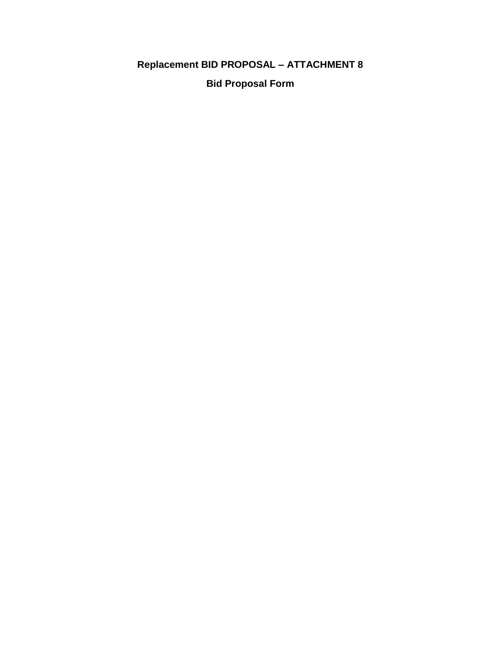# **Replacement BID PROPOSAL - ATTACHMENT 8**

**Bid Proposal Form**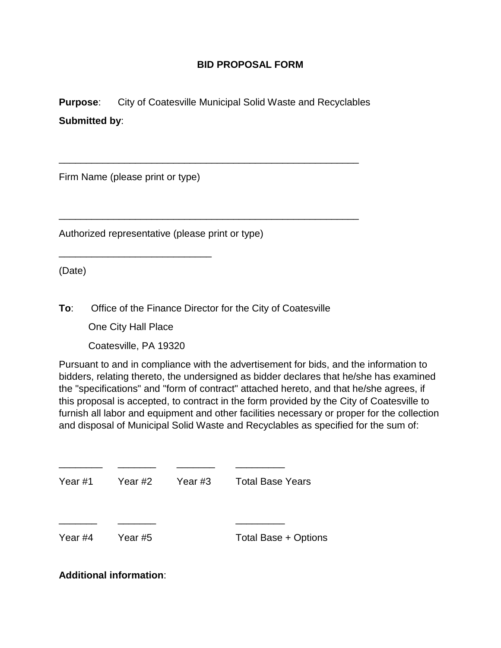### **BID PROPOSAL FORM**

**Purpose:** City of Coatesville Municipal Solid Waste and Recyclables **Submitted by**:

\_\_\_\_\_\_\_\_\_\_\_\_\_\_\_\_\_\_\_\_\_\_\_\_\_\_\_\_\_\_\_\_\_\_\_\_\_\_\_\_\_\_\_\_\_\_\_\_\_\_\_\_\_\_\_

\_\_\_\_\_\_\_\_\_\_\_\_\_\_\_\_\_\_\_\_\_\_\_\_\_\_\_\_\_\_\_\_\_\_\_\_\_\_\_\_\_\_\_\_\_\_\_\_\_\_\_\_\_\_\_

Firm Name (please print or type)

Authorized representative (please print or type)

(Date)

**To**: Office of the Finance Director for the City of Coatesville

One City Hall Place

\_\_\_\_\_\_\_\_\_\_\_\_\_\_\_\_\_\_\_\_\_\_\_\_\_\_\_\_

Coatesville, PA 19320

Pursuant to and in compliance with the advertisement for bids, and the information to bidders, relating thereto, the undersigned as bidder declares that he/she has examined the "specifications" and "form of contract" attached hereto, and that he/she agrees, if this proposal is accepted, to contract in the form provided by the City of Coatesville to furnish all labor and equipment and other facilities necessary or proper for the collection and disposal of Municipal Solid Waste and Recyclables as specified for the sum of:

| Year #1 | Year #2 | Year #3 | <b>Total Base Years</b> |
|---------|---------|---------|-------------------------|
| Year #4 | Year #5 |         | Total Base + Options    |

\_\_\_\_\_\_\_\_ \_\_\_\_\_\_\_ \_\_\_\_\_\_\_ \_\_\_\_\_\_\_\_\_

### **Additional information**: